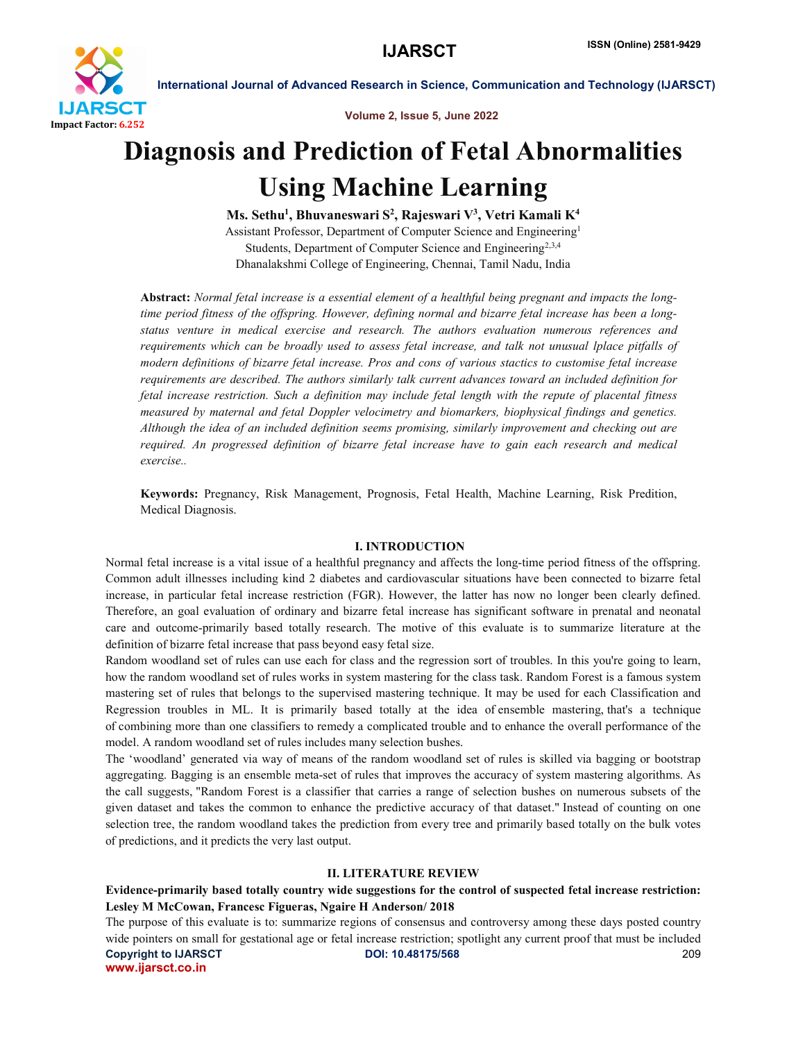

Volume 2, Issue 5, June 2022

## Diagnosis and Prediction of Fetal Abnormalities Using Machine Learning

Ms. Sethu<sup>1</sup>, Bhuvaneswari S<sup>2</sup>, Rajeswari V<sup>3</sup>, Vetri Kamali K<sup>4</sup> Assistant Professor, Department of Computer Science and Engineering1 Students, Department of Computer Science and Engineering<sup>2,3,4</sup> Dhanalakshmi College of Engineering, Chennai, Tamil Nadu, India

Abstract: *Normal fetal increase is a essential element of a healthful being pregnant and impacts the longtime period fitness of the offspring. However, defining normal and bizarre fetal increase has been a longstatus venture in medical exercise and research. The authors evaluation numerous references and requirements which can be broadly used to assess fetal increase, and talk not unusual lplace pitfalls of modern definitions of bizarre fetal increase. Pros and cons of various stactics to customise fetal increase requirements are described. The authors similarly talk current advances toward an included definition for fetal increase restriction. Such a definition may include fetal length with the repute of placental fitness measured by maternal and fetal Doppler velocimetry and biomarkers, biophysical findings and genetics. Although the idea of an included definition seems promising, similarly improvement and checking out are required. An progressed definition of bizarre fetal increase have to gain each research and medical exercise..*

Keywords: Pregnancy, Risk Management, Prognosis, Fetal Health, Machine Learning, Risk Predition, Medical Diagnosis.

### I. INTRODUCTION

Normal fetal increase is a vital issue of a healthful pregnancy and affects the long-time period fitness of the offspring. Common adult illnesses including kind 2 diabetes and cardiovascular situations have been connected to bizarre fetal increase, in particular fetal increase restriction (FGR). However, the latter has now no longer been clearly defined. Therefore, an goal evaluation of ordinary and bizarre fetal increase has significant software in prenatal and neonatal care and outcome-primarily based totally research. The motive of this evaluate is to summarize literature at the definition of bizarre fetal increase that pass beyond easy fetal size.

Random woodland set of rules can use each for class and the regression sort of troubles. In this you're going to learn, how the random woodland set of rules works in system mastering for the class task. Random Forest is a famous system mastering set of rules that belongs to the supervised mastering technique. It may be used for each Classification and Regression troubles in ML. It is primarily based totally at the idea of ensemble mastering, that's a technique of combining more than one classifiers to remedy a complicated trouble and to enhance the overall performance of the model. A random woodland set of rules includes many selection bushes.

The 'woodland' generated via way of means of the random woodland set of rules is skilled via bagging or bootstrap aggregating. Bagging is an ensemble meta-set of rules that improves the accuracy of system mastering algorithms. As the call suggests, "Random Forest is a classifier that carries a range of selection bushes on numerous subsets of the given dataset and takes the common to enhance the predictive accuracy of that dataset." Instead of counting on one selection tree, the random woodland takes the prediction from every tree and primarily based totally on the bulk votes of predictions, and it predicts the very last output.

### II. LITERATURE REVIEW

## Evidence-primarily based totally country wide suggestions for the control of suspected fetal increase restriction: Lesley M McCowan, Francesc Figueras, Ngaire H Anderson/ 2018

Copyright to IJARSCT DOI: 10.48175/568 209 www.ijarsct.co.in The purpose of this evaluate is to: summarize regions of consensus and controversy among these days posted country wide pointers on small for gestational age or fetal increase restriction; spotlight any current proof that must be included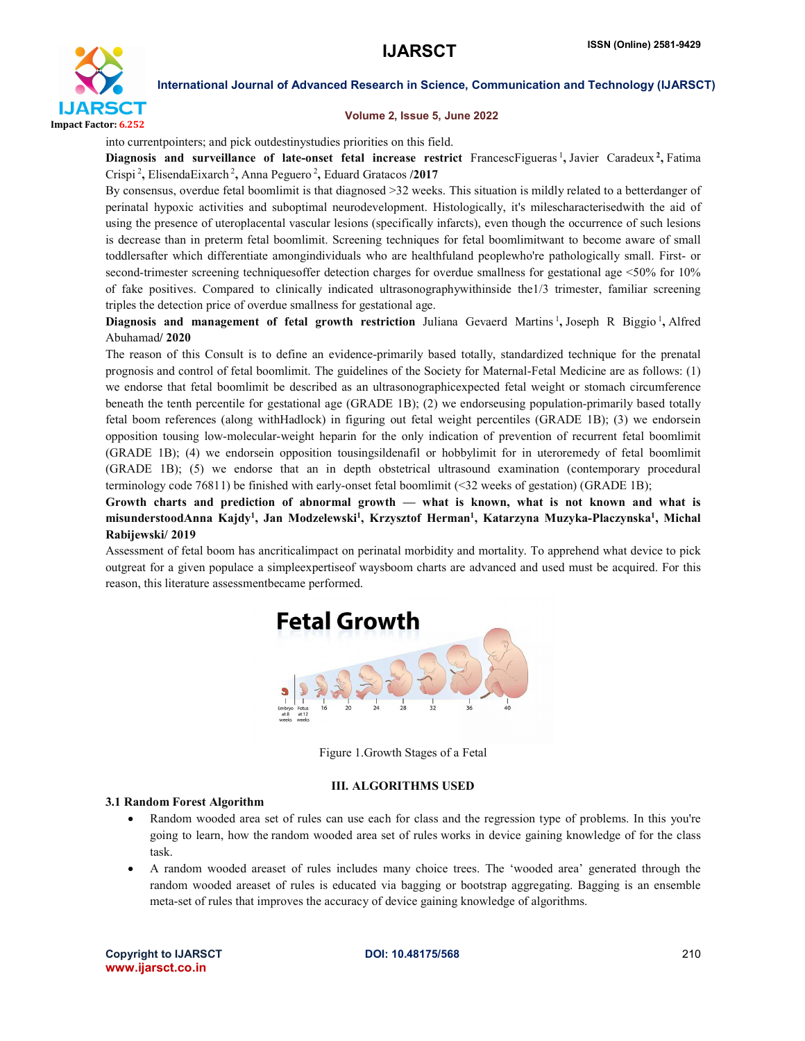

### Volume 2, Issue 5, June 2022

into currentpointers; and pick outdestinystudies priorities on this field.

Diagnosis and surveillance of late-onset fetal increase restrict FrancescFigueras<sup>1</sup>, Javier Caradeux<sup>2</sup>, Fatima Crispi<sup>2</sup>, Elisenda Eixarch<sup>2</sup>, Anna Peguero<sup>2</sup>, Eduard Gratacos /2017

By consensus, overdue fetal boomlimit is that diagnosed >32 weeks. This situation is mildly related to a betterdanger of perinatal hypoxic activities and suboptimal neurodevelopment. Histologically, it's milescharacterisedwith the aid of using the presence of uteroplacental vascular lesions (specifically infarcts), even though the occurrence of such lesions is decrease than in preterm fetal boomlimit. Screening techniques for fetal boomlimitwant to become aware of small toddlersafter which differentiate amongindividuals who are healthfuland peoplewho're pathologically small. First- or second-trimester screening techniquesoffer detection charges for overdue smallness for gestational age <50% for 10% of fake positives. Compared to clinically indicated ultrasonographywithinside the1/3 trimester, familiar screening triples the detection price of overdue smallness for gestational age.

Diagnosis and management of fetal growth restriction Juliana Gevaerd Martins<sup>1</sup>, Joseph R Biggio<sup>1</sup>, Alfred Abuhamad/ 2020

The reason of this Consult is to define an evidence-primarily based totally, standardized technique for the prenatal prognosis and control of fetal boomlimit. The guidelines of the Society for Maternal-Fetal Medicine are as follows: (1) we endorse that fetal boomlimit be described as an ultrasonographicexpected fetal weight or stomach circumference beneath the tenth percentile for gestational age (GRADE 1B); (2) we endorseusing population-primarily based totally fetal boom references (along withHadlock) in figuring out fetal weight percentiles (GRADE 1B); (3) we endorsein opposition tousing low-molecular-weight heparin for the only indication of prevention of recurrent fetal boomlimit (GRADE 1B); (4) we endorsein opposition tousingsildenafil or hobbylimit for in uteroremedy of fetal boomlimit (GRADE 1B); (5) we endorse that an in depth obstetrical ultrasound examination (contemporary procedural terminology code 76811) be finished with early-onset fetal boomlimit (<32 weeks of gestation) (GRADE 1B);

Growth charts and prediction of abnormal growth — what is known, what is not known and what is misunderstoodAnna Kajdy<sup>1</sup>, Jan Modzelewski<sup>1</sup>, Krzysztof Herman<sup>1</sup>, Katarzyna Muzyka-Placzynska<sup>1</sup>, Michal Rabijewski/ 2019

Assessment of fetal boom has ancriticalimpact on perinatal morbidity and mortality. To apprehend what device to pick outgreat for a given populace a simpleexpertiseof waysboom charts are advanced and used must be acquired. For this reason, this literature assessmentbecame performed.



Figure 1.Growth Stages of a Fetal

### III. ALGORITHMS USED

### 3.1 Random Forest Algorithm

- Random wooded area set of rules can use each for class and the regression type of problems. In this you're going to learn, how the random wooded area set of rules works in device gaining knowledge of for the class task.
- A random wooded areaset of rules includes many choice trees. The 'wooded area' generated through the random wooded areaset of rules is educated via bagging or bootstrap aggregating. Bagging is an ensemble meta-set of rules that improves the accuracy of device gaining knowledge of algorithms.

Copyright to IJARSCT DOI: 10.48175/568 210 www.ijarsct.co.in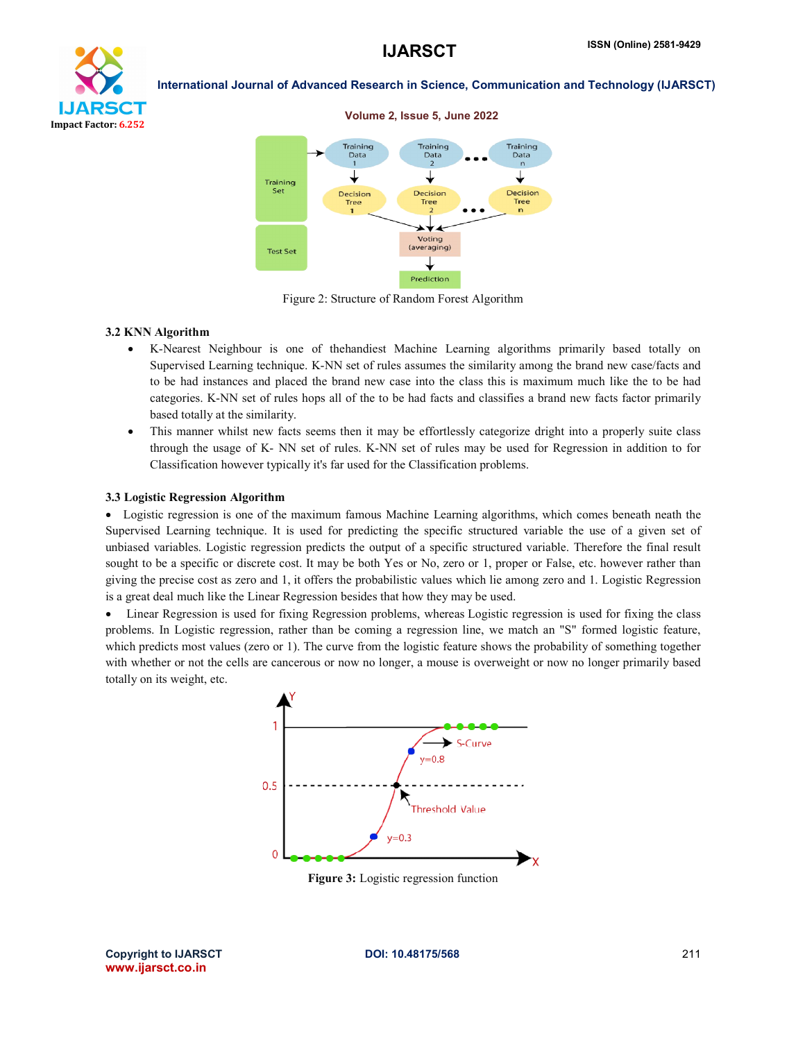



Figure 2: Structure of Random Forest Algorithm

### 3.2 KNN Algorithm

- K-Nearest Neighbour is one of thehandiest Machine Learning algorithms primarily based totally on Supervised Learning technique. K-NN set of rules assumes the similarity among the brand new case/facts and to be had instances and placed the brand new case into the class this is maximum much like the to be had categories. K-NN set of rules hops all of the to be had facts and classifies a brand new facts factor primarily based totally at the similarity.
- This manner whilst new facts seems then it may be effortlessly categorize dright into a properly suite class through the usage of K- NN set of rules. K-NN set of rules may be used for Regression in addition to for Classification however typically it's far used for the Classification problems.

### 3.3 Logistic Regression Algorithm

 Logistic regression is one of the maximum famous Machine Learning algorithms, which comes beneath neath the Supervised Learning technique. It is used for predicting the specific structured variable the use of a given set of unbiased variables. Logistic regression predicts the output of a specific structured variable. Therefore the final result sought to be a specific or discrete cost. It may be both Yes or No, zero or 1, proper or False, etc. however rather than giving the precise cost as zero and 1, it offers the probabilistic values which lie among zero and 1. Logistic Regression is a great deal much like the Linear Regression besides that how they may be used.

 Linear Regression is used for fixing Regression problems, whereas Logistic regression is used for fixing the class problems. In Logistic regression, rather than be coming a regression line, we match an "S" formed logistic feature, which predicts most values (zero or 1). The curve from the logistic feature shows the probability of something together with whether or not the cells are cancerous or now no longer, a mouse is overweight or now no longer primarily based totally on its weight, etc.



Figure 3: Logistic regression function

Copyright to IJARSCT DOI: 10.48175/568 211 www.ijarsct.co.in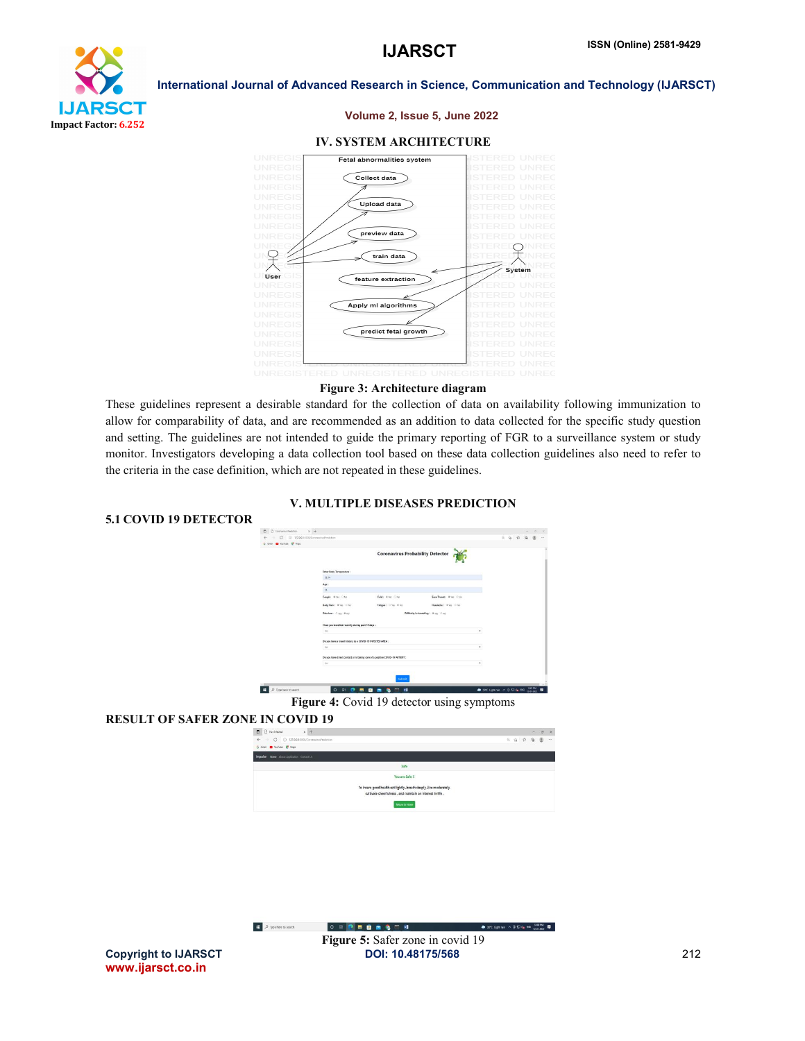

### Volume 2, Issue 5, June 2022

### IV. SYSTEM ARCHITECTURE



### Figure 3: Architecture diagram

These guidelines represent a desirable standard for the collection of data on availability following immunization to allow for comparability of data, and are recommended as an addition to data collected for the specific study question and setting. The guidelines are not intended to guide the primary reporting of FGR to a surveillance system or study monitor. Investigators developing a data collection tool based on these data collection guidelines also need to refer to the criteria in the case definition, which are not repeated in these guidelines.

### V. MULTIPLE DISEASES PREDICTION



### RESULT OF SAFER ZONE IN COVID 19



 $\begin{array}{|c|c|} \hline \rule{0.2cm}{1.1ex}\rule{0.2cm}{1.1ex}\rule{0.2cm}{1.1ex}\rule{0.2cm}{1.1ex}\rule{0.2cm}{1.1ex}\rule{0.2cm}{1.1ex}\rule{0.2cm}{1.1ex}\rule{0.2cm}{1.1ex}\rule{0.2cm}{1.1ex}\rule{0.2cm}{1.1ex}\rule{0.2cm}{1.1ex}\rule{0.2cm}{1.1ex}\rule{0.2cm}{1.1ex}\rule{0.2cm}{1.1ex}\rule{0.2cm}{1.1ex}\rule{0.2cm}{1.1ex}\rule{0.2cm}{1.1ex}\rule$  $\bullet$  370 Lightnin  $\land$  8  $\bigoplus$  4, 816  $\frac{126}{124}$ Figure 5: Safer zone in covid 19Copyright to IJARSCT DOI: 10.48175/568 212

 $\frac{u}{w}$  or  $\frac{1}{w}$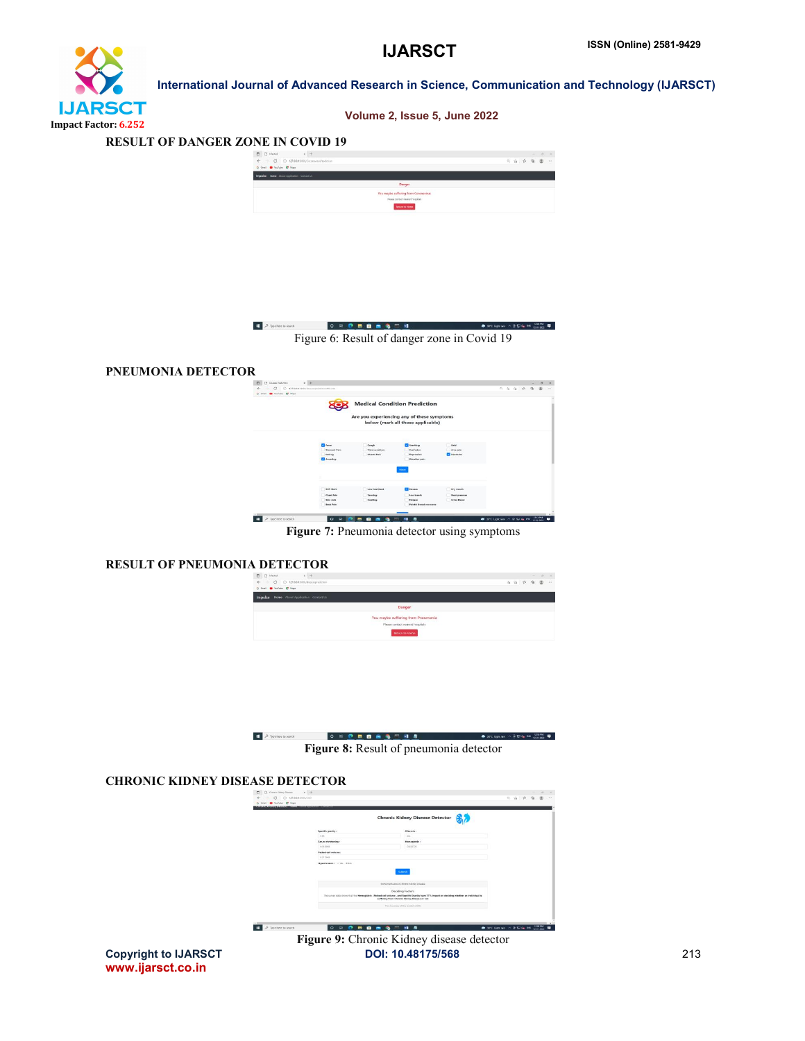# **IJARSCT** Impact Factor: 6.252

 International Journal of Advanced Research in Science, Communication and Technology (IJARSCT) Volume 2, Issue 5, June 2022





## PNEUMONIA DETECTOR

| Are you experiencing any of these symptoms<br>below (mark all those applicable)<br><b>Call Fester</b><br><b>Ca</b> Vamiling<br>Cold<br>Cough<br>Stomach Pain<br>Confusion<br>Are pain<br>Vision problem<br><b>Cal Headache</b><br>Muscle Pain<br>Inching<br>Depression<br><b>Cal Soventing</b><br><b>Shoulder</b> pain<br>Next<br><b>Tal Nassex</b><br>State Mack<br>Low heartboat<br>Dry mouth |                   |                | <b>Medical Condition Prediction</b> |                       |  |  |  |
|-------------------------------------------------------------------------------------------------------------------------------------------------------------------------------------------------------------------------------------------------------------------------------------------------------------------------------------------------------------------------------------------------|-------------------|----------------|-------------------------------------|-----------------------|--|--|--|
|                                                                                                                                                                                                                                                                                                                                                                                                 | 30                |                |                                     |                       |  |  |  |
|                                                                                                                                                                                                                                                                                                                                                                                                 |                   |                |                                     |                       |  |  |  |
|                                                                                                                                                                                                                                                                                                                                                                                                 |                   |                |                                     |                       |  |  |  |
|                                                                                                                                                                                                                                                                                                                                                                                                 |                   |                |                                     |                       |  |  |  |
|                                                                                                                                                                                                                                                                                                                                                                                                 |                   |                |                                     |                       |  |  |  |
|                                                                                                                                                                                                                                                                                                                                                                                                 |                   |                |                                     |                       |  |  |  |
|                                                                                                                                                                                                                                                                                                                                                                                                 |                   |                |                                     |                       |  |  |  |
|                                                                                                                                                                                                                                                                                                                                                                                                 |                   |                |                                     |                       |  |  |  |
|                                                                                                                                                                                                                                                                                                                                                                                                 |                   |                |                                     |                       |  |  |  |
|                                                                                                                                                                                                                                                                                                                                                                                                 | <b>Cheer Pain</b> | <b>Yawning</b> | Low breath                          | <b>Steel prospare</b> |  |  |  |
| Swelling<br><b>Fatigue</b><br><b>Urins Blood</b><br>Skin rads                                                                                                                                                                                                                                                                                                                                   |                   |                |                                     |                       |  |  |  |
| <b>Rock Pain</b><br><b>Painful Bound members</b>                                                                                                                                                                                                                                                                                                                                                |                   |                |                                     |                       |  |  |  |

Figure 7: Pneumonia detector using symptoms

## RESULT OF PNEUMONIA DETECTOR



| D Type here to search | $0 \equiv 0 \equiv 0 \equiv 0 \equiv 0 \equiv 1.4$ |                                        | $\bullet$ 370 lightnin $\land$ $\theta$ 12 da 040 lineway $\blacksquare$ |
|-----------------------|----------------------------------------------------|----------------------------------------|--------------------------------------------------------------------------|
|                       |                                                    | Figure 8: Result of pneumonia detector |                                                                          |

## CHRONIC KIDNEY DISEASE DETECTOR

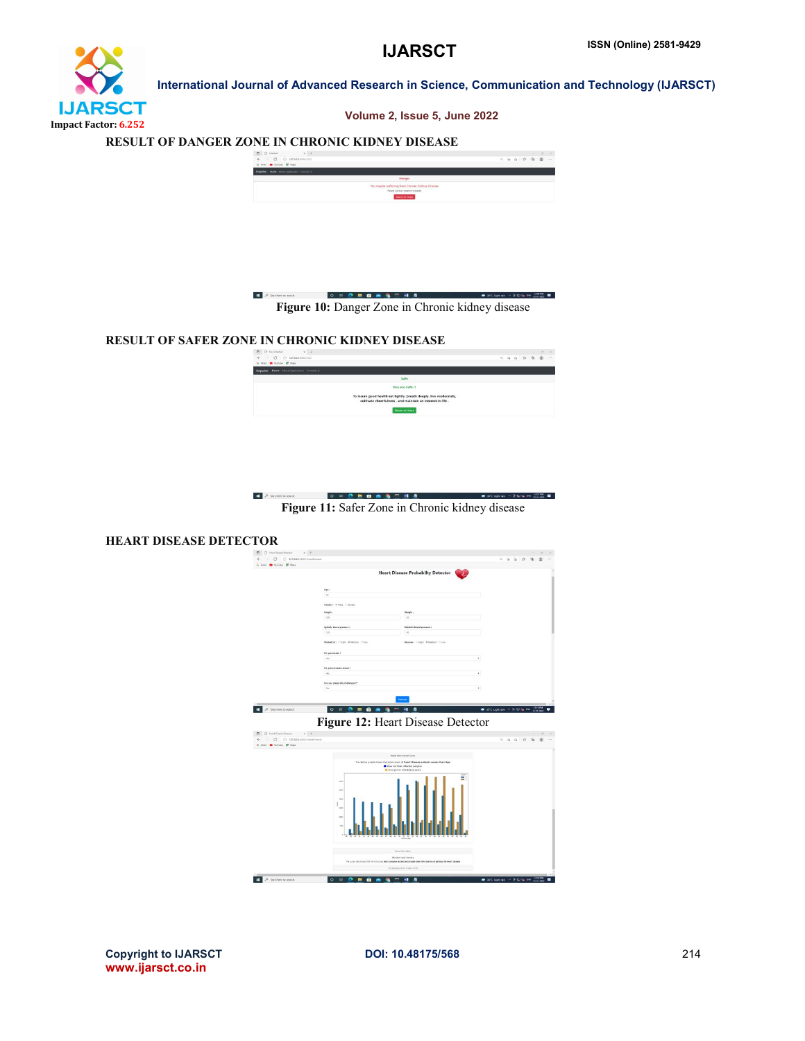



### RESULT OF DANGER ZONE IN CHRONIC KIDNEY DISEASE





## RESULT OF SAFER ZONE IN CHRONIC KIDNEY DISEASE

| $X +$                                                                                                                               |  |  |  |  |
|-------------------------------------------------------------------------------------------------------------------------------------|--|--|--|--|
| $\leftarrow$ $\circ$ $\circ$ 127,88,1500,000                                                                                        |  |  |  |  |
| G Small I Voullable 127 Maps                                                                                                        |  |  |  |  |
| Impulse Home About Application Contact Us                                                                                           |  |  |  |  |
| Safe                                                                                                                                |  |  |  |  |
| You are Safe !!                                                                                                                     |  |  |  |  |
| To insure good health eat lightly , breath deeply , live moderately,<br>cultivate cheerfulness . and maintain an interest in life . |  |  |  |  |
| <b><i><u>Detail to Forme</u></i></b>                                                                                                |  |  |  |  |
|                                                                                                                                     |  |  |  |  |
|                                                                                                                                     |  |  |  |  |

 $\begin{tabular}{|c|c|} \hline \quad \quad & \quad \quad & \quad \quad & \quad \quad & \quad \quad \\ \hline \quad \quad & \quad \quad & \quad \quad & \quad \quad & \quad \quad \\ \hline \quad \quad & \quad \quad & \quad \quad & \quad \quad \\ \hline \end{tabular}$ Figure 11: Safer Zone in Chronic kidney disease

### HEART DISEASE DETECTOR



Copyright to IJARSCT DOI: 10.48175/568 214 www.ijarsct.co.in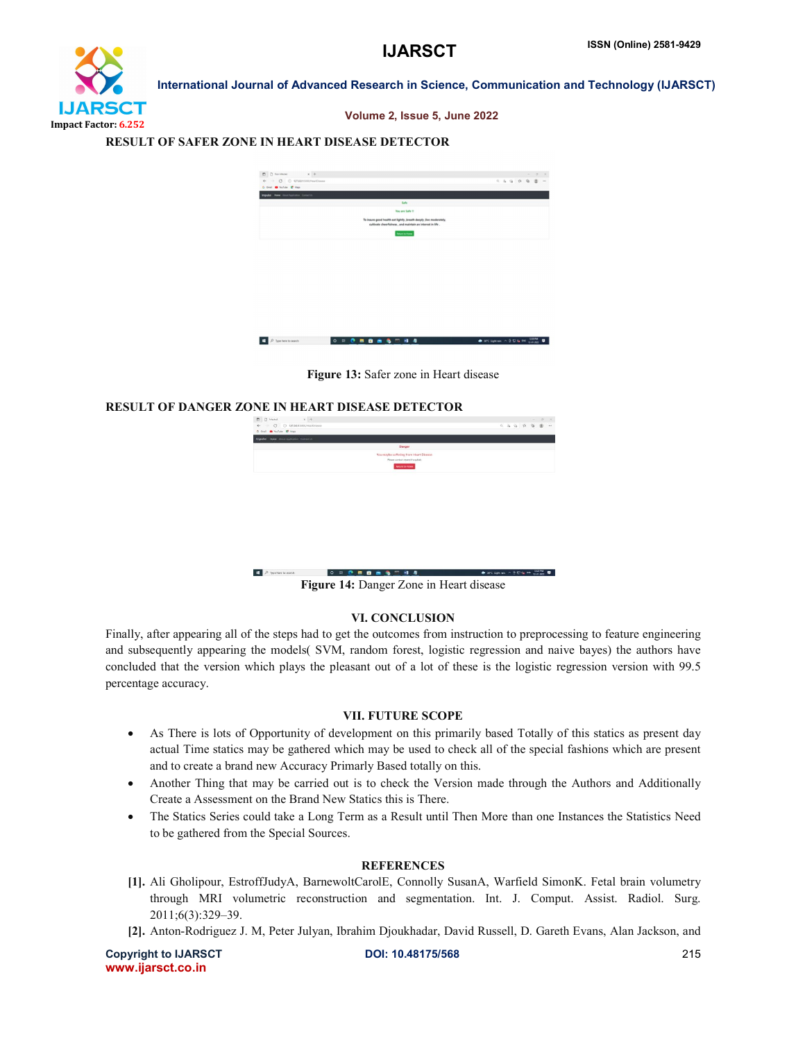

Volume 2, Issue 5, June 2022

### RESULT OF SAFER ZONE IN HEART DISEASE DETECTOR

| $\times$ +<br>$\Box$ $\Box$ has infected                                                                                                                                                                                                                                                                                                                                                                                |                                                                                                                                 |                 | $- 0 \times$ |
|-------------------------------------------------------------------------------------------------------------------------------------------------------------------------------------------------------------------------------------------------------------------------------------------------------------------------------------------------------------------------------------------------------------------------|---------------------------------------------------------------------------------------------------------------------------------|-----------------|--------------|
| $\leftarrow$ $\rightarrow$ $\left.$ $\right$ $\right.$ $\odot$ $\left.$ $\right.$ $\left.$ $\left.$ $\right.$ $\left. \right.$ $\left. \right.$ $\left. \right.$ $\left. \right.$ $\left. \right.$ $\left. \right.$ $\left. \right.$ $\left. \right.$ $\left. \right.$ $\left. \right.$ $\left. \right.$ $\left. \right.$ $\left. \right.$ $\left. \right.$ $\left. \right.$ $\left. \right.$ $\left. \right.$ $\left.$ |                                                                                                                                 | $- 0.0101010 -$ |              |
| G Grat @ YouTube @ Maps                                                                                                                                                                                                                                                                                                                                                                                                 |                                                                                                                                 |                 |              |
| Impulse Hune About Application Contact Us                                                                                                                                                                                                                                                                                                                                                                               |                                                                                                                                 |                 |              |
|                                                                                                                                                                                                                                                                                                                                                                                                                         | Safe                                                                                                                            |                 |              |
|                                                                                                                                                                                                                                                                                                                                                                                                                         | You are Safe !!                                                                                                                 |                 |              |
|                                                                                                                                                                                                                                                                                                                                                                                                                         | To insure good health eat lightly ,breath deeply ,live moderately,<br>cultivate cheerfulness, and maintain an interest in life. |                 |              |
|                                                                                                                                                                                                                                                                                                                                                                                                                         | <b>Belton to Home</b>                                                                                                           |                 |              |
|                                                                                                                                                                                                                                                                                                                                                                                                                         |                                                                                                                                 |                 |              |
|                                                                                                                                                                                                                                                                                                                                                                                                                         |                                                                                                                                 |                 |              |
|                                                                                                                                                                                                                                                                                                                                                                                                                         |                                                                                                                                 |                 |              |
|                                                                                                                                                                                                                                                                                                                                                                                                                         |                                                                                                                                 |                 |              |
|                                                                                                                                                                                                                                                                                                                                                                                                                         |                                                                                                                                 |                 |              |
|                                                                                                                                                                                                                                                                                                                                                                                                                         |                                                                                                                                 |                 |              |

 $0.00000000000$  $\mathbf{H}$   $\mathbf{P}$  Type here to search 

Figure 13: Safer zone in Heart disease

### RESULT OF DANGER ZONE IN HEART DISEASE DETECTOR

| $\times$ +<br>C)<br>n.<br>Infantasi                                           |                                     |  |  | $\sim$   | $\alpha$ |        |
|-------------------------------------------------------------------------------|-------------------------------------|--|--|----------|----------|--------|
| C 127.0.0.15000/HeartDisease<br>$\mathcal{C}$                                 |                                     |  |  | 日志 白 白 面 |          | $\sim$ |
| G Snall @ YouTube @ Maps                                                      |                                     |  |  |          |          |        |
| <b>Impulse Home</b> About Application Custod Us                               |                                     |  |  |          |          |        |
| Danger                                                                        |                                     |  |  |          |          |        |
| You maybe suffering from Heart Disease                                        |                                     |  |  |          |          |        |
| Please contact nearest hospitals                                              |                                     |  |  |          |          |        |
| <b>Between To Figure</b>                                                      |                                     |  |  |          |          |        |
|                                                                               |                                     |  |  |          |          |        |
|                                                                               |                                     |  |  |          |          |        |
|                                                                               |                                     |  |  |          |          |        |
|                                                                               |                                     |  |  |          |          |        |
|                                                                               |                                     |  |  |          |          |        |
|                                                                               |                                     |  |  |          |          |        |
|                                                                               |                                     |  |  |          |          |        |
|                                                                               |                                     |  |  |          |          |        |
|                                                                               |                                     |  |  |          |          |        |
|                                                                               |                                     |  |  |          |          |        |
|                                                                               |                                     |  |  |          |          |        |
|                                                                               |                                     |  |  |          |          |        |
|                                                                               |                                     |  |  |          |          |        |
| $\Omega$<br>Type here to search<br>$\circ$<br>$\frac{1}{2}$<br>$\bullet$<br>п | 2010 Spheran - 0.12 de 1992 1322 PM |  |  |          |          | ٠      |
|                                                                               |                                     |  |  |          |          |        |
| Figure 14: Danger Zone in Heart disease                                       |                                     |  |  |          |          |        |

### VI. CONCLUSION

Finally, after appearing all of the steps had to get the outcomes from instruction to preprocessing to feature engineering and subsequently appearing the models( SVM, random forest, logistic regression and naive bayes) the authors have concluded that the version which plays the pleasant out of a lot of these is the logistic regression version with 99.5 percentage accuracy.

### VII. FUTURE SCOPE

- As There is lots of Opportunity of development on this primarily based Totally of this statics as present day actual Time statics may be gathered which may be used to check all of the special fashions which are present and to create a brand new Accuracy Primarly Based totally on this.
- Another Thing that may be carried out is to check the Version made through the Authors and Additionally Create a Assessment on the Brand New Statics this is There.
- The Statics Series could take a Long Term as a Result until Then More than one Instances the Statistics Need to be gathered from the Special Sources.

### **REFERENCES**

- [1]. Ali Gholipour, EstroffJudyA, BarnewoltCarolE, Connolly SusanA, Warfield SimonK. Fetal brain volumetry through MRI volumetric reconstruction and segmentation. Int. J. Comput. Assist. Radiol. Surg. 2011;6(3):329–39.
- [2]. Anton-Rodriguez J. M, Peter Julyan, Ibrahim Djoukhadar, David Russell, D. Gareth Evans, Alan Jackson, and

Copyright to IJARSCT DOI: 10.48175/568 215 www.ijarsct.co.in